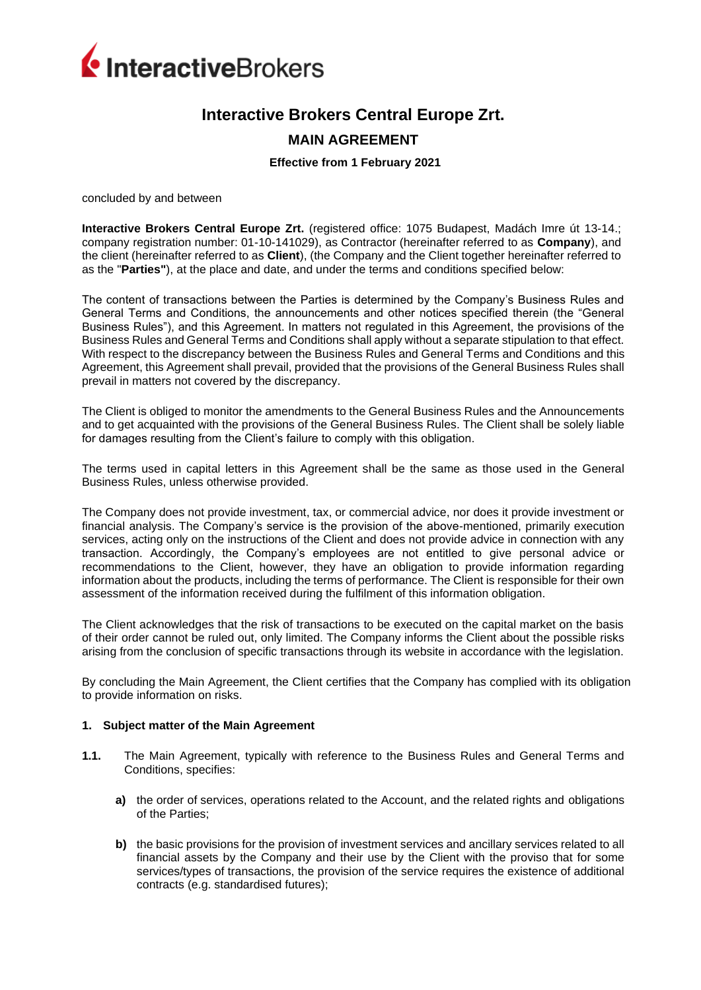

# **Interactive Brokers Central Europe Zrt.**

# **MAIN AGREEMENT**

#### **Effective from 1 February 2021**

concluded by and between

**Interactive Brokers Central Europe Zrt.** (registered office: 1075 Budapest, Madách Imre út 13-14.; company registration number: 01-10-141029), as Contractor (hereinafter referred to as **Company**), and the client (hereinafter referred to as **Client**), (the Company and the Client together hereinafter referred to as the "**Parties"**), at the place and date, and under the terms and conditions specified below:

The content of transactions between the Parties is determined by the Company's Business Rules and General Terms and Conditions, the announcements and other notices specified therein (the "General Business Rules"), and this Agreement. In matters not regulated in this Agreement, the provisions of the Business Rules and General Terms and Conditions shall apply without a separate stipulation to that effect. With respect to the discrepancy between the Business Rules and General Terms and Conditions and this Agreement, this Agreement shall prevail, provided that the provisions of the General Business Rules shall prevail in matters not covered by the discrepancy.

The Client is obliged to monitor the amendments to the General Business Rules and the Announcements and to get acquainted with the provisions of the General Business Rules. The Client shall be solely liable for damages resulting from the Client's failure to comply with this obligation.

The terms used in capital letters in this Agreement shall be the same as those used in the General Business Rules, unless otherwise provided.

The Company does not provide investment, tax, or commercial advice, nor does it provide investment or financial analysis. The Company's service is the provision of the above-mentioned, primarily execution services, acting only on the instructions of the Client and does not provide advice in connection with any transaction. Accordingly, the Company's employees are not entitled to give personal advice or recommendations to the Client, however, they have an obligation to provide information regarding information about the products, including the terms of performance. The Client is responsible for their own assessment of the information received during the fulfilment of this information obligation.

The Client acknowledges that the risk of transactions to be executed on the capital market on the basis of their order cannot be ruled out, only limited. The Company informs the Client about the possible risks arising from the conclusion of specific transactions through its website in accordance with the legislation.

By concluding the Main Agreement, the Client certifies that the Company has complied with its obligation to provide information on risks.

#### **1. Subject matter of the Main Agreement**

- **1.1.** The Main Agreement, typically with reference to the Business Rules and General Terms and Conditions, specifies:
	- **a)** the order of services, operations related to the Account, and the related rights and obligations of the Parties;
	- **b)** the basic provisions for the provision of investment services and ancillary services related to all financial assets by the Company and their use by the Client with the proviso that for some services/types of transactions, the provision of the service requires the existence of additional contracts (e.g. standardised futures);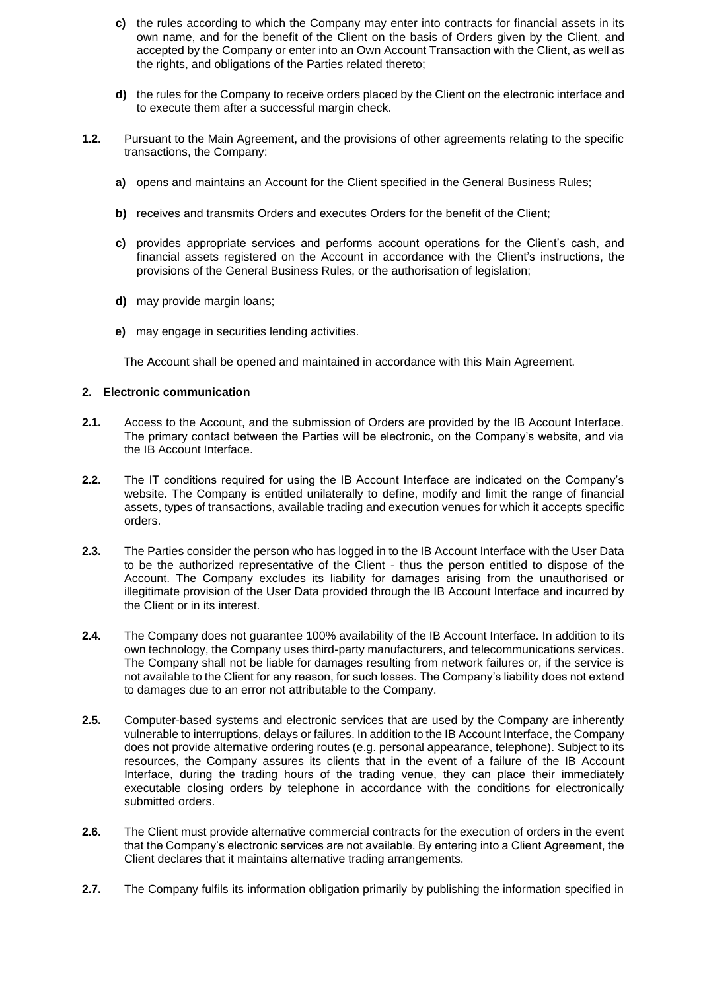- **c)** the rules according to which the Company may enter into contracts for financial assets in its own name, and for the benefit of the Client on the basis of Orders given by the Client, and accepted by the Company or enter into an Own Account Transaction with the Client, as well as the rights, and obligations of the Parties related thereto;
- **d)** the rules for the Company to receive orders placed by the Client on the electronic interface and to execute them after a successful margin check.
- **1.2.** Pursuant to the Main Agreement, and the provisions of other agreements relating to the specific transactions, the Company:
	- **a)** opens and maintains an Account for the Client specified in the General Business Rules;
	- **b)** receives and transmits Orders and executes Orders for the benefit of the Client;
	- **c)** provides appropriate services and performs account operations for the Client's cash, and financial assets registered on the Account in accordance with the Client's instructions, the provisions of the General Business Rules, or the authorisation of legislation;
	- **d)** may provide margin loans;
	- **e)** may engage in securities lending activities.

The Account shall be opened and maintained in accordance with this Main Agreement.

#### **2. Electronic communication**

- **2.1.** Access to the Account, and the submission of Orders are provided by the IB Account Interface. The primary contact between the Parties will be electronic, on the Company's website, and via the IB Account Interface.
- **2.2.** The IT conditions required for using the IB Account Interface are indicated on the Company's website. The Company is entitled unilaterally to define, modify and limit the range of financial assets, types of transactions, available trading and execution venues for which it accepts specific orders.
- **2.3.** The Parties consider the person who has logged in to the IB Account Interface with the User Data to be the authorized representative of the Client - thus the person entitled to dispose of the Account. The Company excludes its liability for damages arising from the unauthorised or illegitimate provision of the User Data provided through the IB Account Interface and incurred by the Client or in its interest.
- **2.4.** The Company does not guarantee 100% availability of the IB Account Interface. In addition to its own technology, the Company uses third-party manufacturers, and telecommunications services. The Company shall not be liable for damages resulting from network failures or, if the service is not available to the Client for any reason, for such losses. The Company's liability does not extend to damages due to an error not attributable to the Company.
- **2.5.** Computer-based systems and electronic services that are used by the Company are inherently vulnerable to interruptions, delays or failures. In addition to the IB Account Interface, the Company does not provide alternative ordering routes (e.g. personal appearance, telephone). Subject to its resources, the Company assures its clients that in the event of a failure of the IB Account Interface, during the trading hours of the trading venue, they can place their immediately executable closing orders by telephone in accordance with the conditions for electronically submitted orders.
- **2.6.** The Client must provide alternative commercial contracts for the execution of orders in the event that the Company's electronic services are not available. By entering into a Client Agreement, the Client declares that it maintains alternative trading arrangements.
- **2.7.** The Company fulfils its information obligation primarily by publishing the information specified in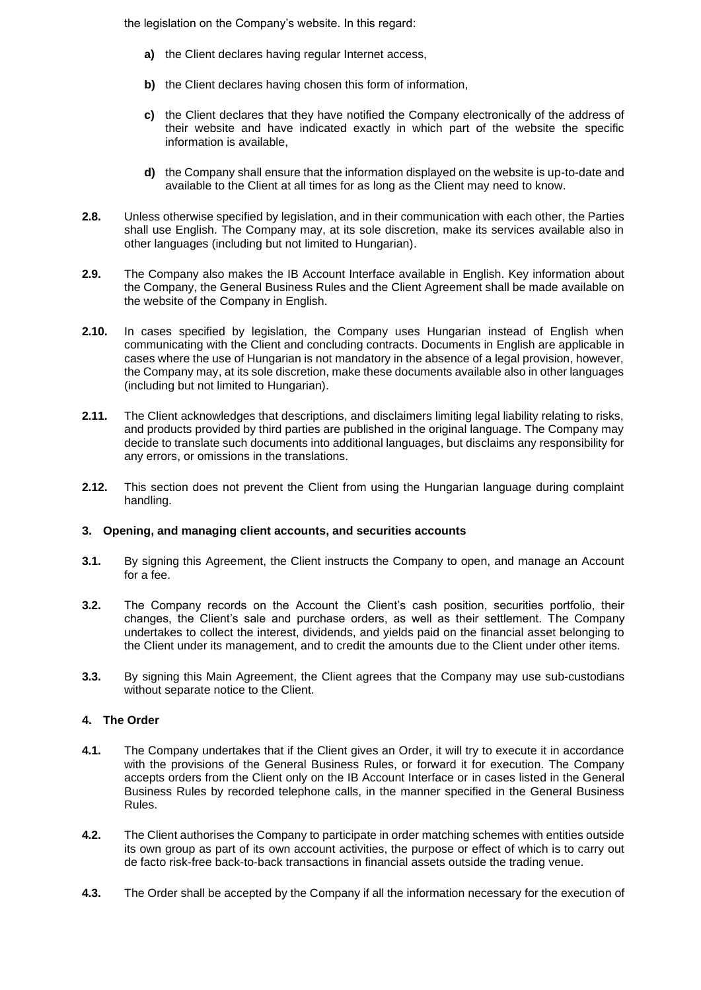the legislation on the Company's website. In this regard:

- **a)** the Client declares having regular Internet access,
- **b)** the Client declares having chosen this form of information,
- **c)** the Client declares that they have notified the Company electronically of the address of their website and have indicated exactly in which part of the website the specific information is available,
- **d)** the Company shall ensure that the information displayed on the website is up-to-date and available to the Client at all times for as long as the Client may need to know.
- **2.8.** Unless otherwise specified by legislation, and in their communication with each other, the Parties shall use English. The Company may, at its sole discretion, make its services available also in other languages (including but not limited to Hungarian).
- **2.9.** The Company also makes the IB Account Interface available in English. Key information about the Company, the General Business Rules and the Client Agreement shall be made available on the website of the Company in English.
- **2.10.** In cases specified by legislation, the Company uses Hungarian instead of English when communicating with the Client and concluding contracts. Documents in English are applicable in cases where the use of Hungarian is not mandatory in the absence of a legal provision, however, the Company may, at its sole discretion, make these documents available also in other languages (including but not limited to Hungarian).
- **2.11.** The Client acknowledges that descriptions, and disclaimers limiting legal liability relating to risks, and products provided by third parties are published in the original language. The Company may decide to translate such documents into additional languages, but disclaims any responsibility for any errors, or omissions in the translations.
- **2.12.** This section does not prevent the Client from using the Hungarian language during complaint handling.

#### **3. Opening, and managing client accounts, and securities accounts**

- **3.1.** By signing this Agreement, the Client instructs the Company to open, and manage an Account for a fee.
- **3.2.** The Company records on the Account the Client's cash position, securities portfolio, their changes, the Client's sale and purchase orders, as well as their settlement. The Company undertakes to collect the interest, dividends, and yields paid on the financial asset belonging to the Client under its management, and to credit the amounts due to the Client under other items.
- **3.3.** By signing this Main Agreement, the Client agrees that the Company may use sub-custodians without separate notice to the Client.

# **4. The Order**

- **4.1.** The Company undertakes that if the Client gives an Order, it will try to execute it in accordance with the provisions of the General Business Rules, or forward it for execution. The Company accepts orders from the Client only on the IB Account Interface or in cases listed in the General Business Rules by recorded telephone calls, in the manner specified in the General Business Rules.
- **4.2.** The Client authorises the Company to participate in order matching schemes with entities outside its own group as part of its own account activities, the purpose or effect of which is to carry out de facto risk-free back-to-back transactions in financial assets outside the trading venue.
- **4.3.** The Order shall be accepted by the Company if all the information necessary for the execution of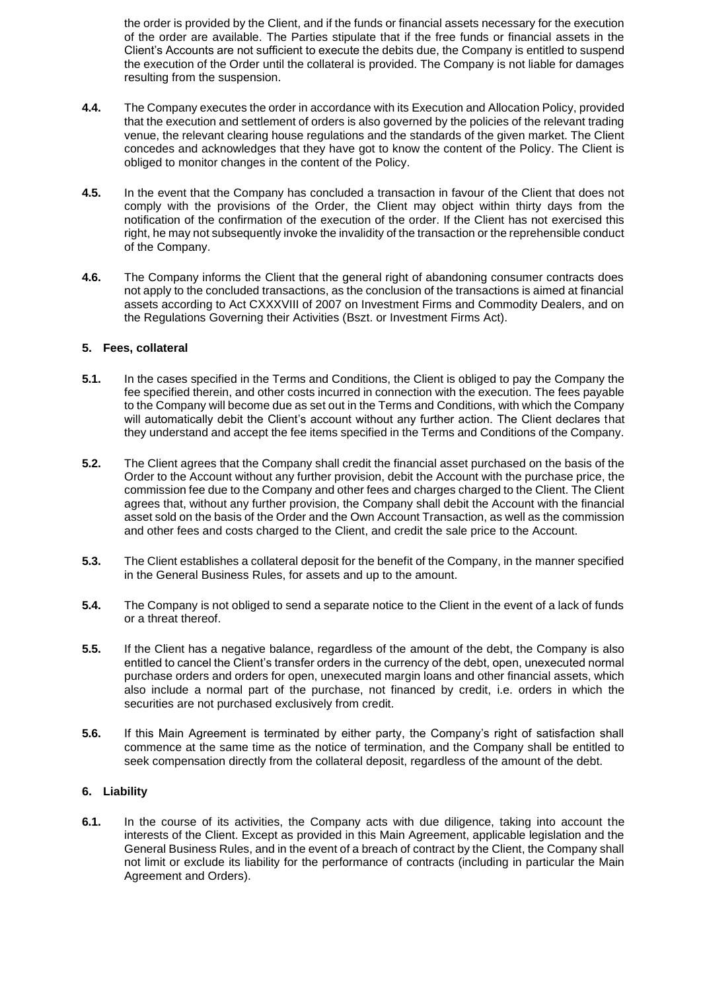the order is provided by the Client, and if the funds or financial assets necessary for the execution of the order are available. The Parties stipulate that if the free funds or financial assets in the Client's Accounts are not sufficient to execute the debits due, the Company is entitled to suspend the execution of the Order until the collateral is provided. The Company is not liable for damages resulting from the suspension.

- **4.4.** The Company executes the order in accordance with its Execution and Allocation Policy, provided that the execution and settlement of orders is also governed by the policies of the relevant trading venue, the relevant clearing house regulations and the standards of the given market. The Client concedes and acknowledges that they have got to know the content of the Policy. The Client is obliged to monitor changes in the content of the Policy.
- **4.5.** In the event that the Company has concluded a transaction in favour of the Client that does not comply with the provisions of the Order, the Client may object within thirty days from the notification of the confirmation of the execution of the order. If the Client has not exercised this right, he may not subsequently invoke the invalidity of the transaction or the reprehensible conduct of the Company.
- **4.6.** The Company informs the Client that the general right of abandoning consumer contracts does not apply to the concluded transactions, as the conclusion of the transactions is aimed at financial assets according to Act CXXXVIII of 2007 on Investment Firms and Commodity Dealers, and on the Regulations Governing their Activities (Bszt. or Investment Firms Act).

### **5. Fees, collateral**

- **5.1.** In the cases specified in the Terms and Conditions, the Client is obliged to pay the Company the fee specified therein, and other costs incurred in connection with the execution. The fees payable to the Company will become due as set out in the Terms and Conditions, with which the Company will automatically debit the Client's account without any further action. The Client declares that they understand and accept the fee items specified in the Terms and Conditions of the Company.
- **5.2.** The Client agrees that the Company shall credit the financial asset purchased on the basis of the Order to the Account without any further provision, debit the Account with the purchase price, the commission fee due to the Company and other fees and charges charged to the Client. The Client agrees that, without any further provision, the Company shall debit the Account with the financial asset sold on the basis of the Order and the Own Account Transaction, as well as the commission and other fees and costs charged to the Client, and credit the sale price to the Account.
- **5.3.** The Client establishes a collateral deposit for the benefit of the Company, in the manner specified in the General Business Rules, for assets and up to the amount.
- **5.4.** The Company is not obliged to send a separate notice to the Client in the event of a lack of funds or a threat thereof.
- **5.5.** If the Client has a negative balance, regardless of the amount of the debt, the Company is also entitled to cancel the Client's transfer orders in the currency of the debt, open, unexecuted normal purchase orders and orders for open, unexecuted margin loans and other financial assets, which also include a normal part of the purchase, not financed by credit, i.e. orders in which the securities are not purchased exclusively from credit.
- **5.6.** If this Main Agreement is terminated by either party, the Company's right of satisfaction shall commence at the same time as the notice of termination, and the Company shall be entitled to seek compensation directly from the collateral deposit, regardless of the amount of the debt.

# **6. Liability**

**6.1.** In the course of its activities, the Company acts with due diligence, taking into account the interests of the Client. Except as provided in this Main Agreement, applicable legislation and the General Business Rules, and in the event of a breach of contract by the Client, the Company shall not limit or exclude its liability for the performance of contracts (including in particular the Main Agreement and Orders).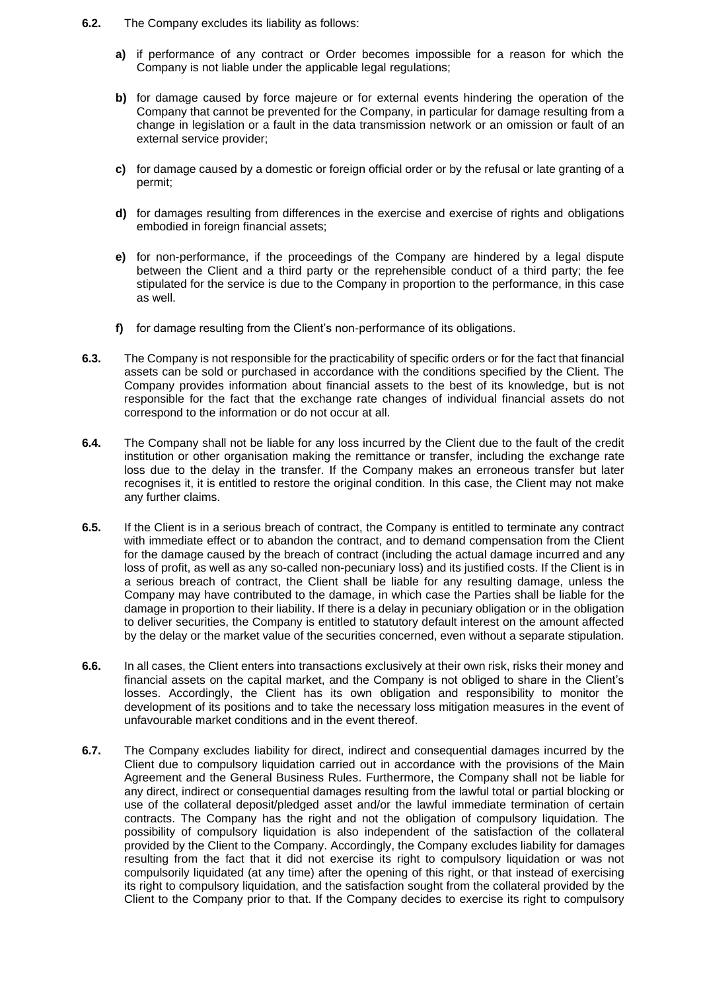- **6.2.** The Company excludes its liability as follows:
	- **a)** if performance of any contract or Order becomes impossible for a reason for which the Company is not liable under the applicable legal regulations;
	- **b)** for damage caused by force majeure or for external events hindering the operation of the Company that cannot be prevented for the Company, in particular for damage resulting from a change in legislation or a fault in the data transmission network or an omission or fault of an external service provider;
	- **c)** for damage caused by a domestic or foreign official order or by the refusal or late granting of a permit;
	- **d)** for damages resulting from differences in the exercise and exercise of rights and obligations embodied in foreign financial assets;
	- **e)** for non-performance, if the proceedings of the Company are hindered by a legal dispute between the Client and a third party or the reprehensible conduct of a third party; the fee stipulated for the service is due to the Company in proportion to the performance, in this case as well.
	- **f)** for damage resulting from the Client's non-performance of its obligations.
- **6.3.** The Company is not responsible for the practicability of specific orders or for the fact that financial assets can be sold or purchased in accordance with the conditions specified by the Client. The Company provides information about financial assets to the best of its knowledge, but is not responsible for the fact that the exchange rate changes of individual financial assets do not correspond to the information or do not occur at all.
- **6.4.** The Company shall not be liable for any loss incurred by the Client due to the fault of the credit institution or other organisation making the remittance or transfer, including the exchange rate loss due to the delay in the transfer. If the Company makes an erroneous transfer but later recognises it, it is entitled to restore the original condition. In this case, the Client may not make any further claims.
- **6.5.** If the Client is in a serious breach of contract, the Company is entitled to terminate any contract with immediate effect or to abandon the contract, and to demand compensation from the Client for the damage caused by the breach of contract (including the actual damage incurred and any loss of profit, as well as any so-called non-pecuniary loss) and its justified costs. If the Client is in a serious breach of contract, the Client shall be liable for any resulting damage, unless the Company may have contributed to the damage, in which case the Parties shall be liable for the damage in proportion to their liability. If there is a delay in pecuniary obligation or in the obligation to deliver securities, the Company is entitled to statutory default interest on the amount affected by the delay or the market value of the securities concerned, even without a separate stipulation.
- **6.6.** In all cases, the Client enters into transactions exclusively at their own risk, risks their money and financial assets on the capital market, and the Company is not obliged to share in the Client's losses. Accordingly, the Client has its own obligation and responsibility to monitor the development of its positions and to take the necessary loss mitigation measures in the event of unfavourable market conditions and in the event thereof.
- **6.7.** The Company excludes liability for direct, indirect and consequential damages incurred by the Client due to compulsory liquidation carried out in accordance with the provisions of the Main Agreement and the General Business Rules. Furthermore, the Company shall not be liable for any direct, indirect or consequential damages resulting from the lawful total or partial blocking or use of the collateral deposit/pledged asset and/or the lawful immediate termination of certain contracts. The Company has the right and not the obligation of compulsory liquidation. The possibility of compulsory liquidation is also independent of the satisfaction of the collateral provided by the Client to the Company. Accordingly, the Company excludes liability for damages resulting from the fact that it did not exercise its right to compulsory liquidation or was not compulsorily liquidated (at any time) after the opening of this right, or that instead of exercising its right to compulsory liquidation, and the satisfaction sought from the collateral provided by the Client to the Company prior to that. If the Company decides to exercise its right to compulsory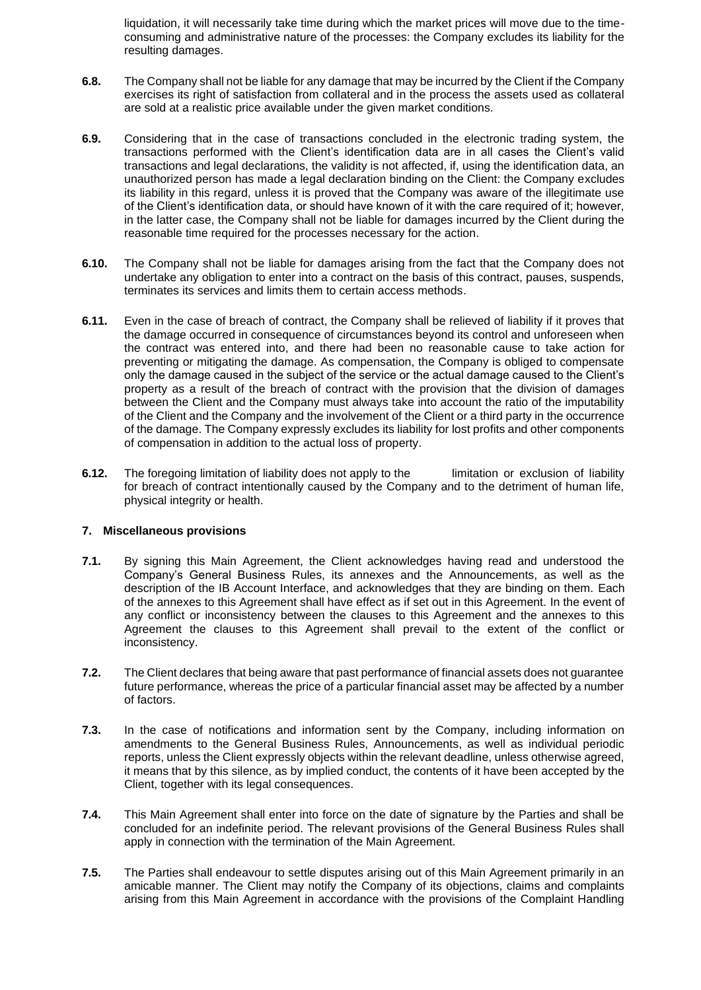liquidation, it will necessarily take time during which the market prices will move due to the timeconsuming and administrative nature of the processes: the Company excludes its liability for the resulting damages.

- **6.8.** The Company shall not be liable for any damage that may be incurred by the Client if the Company exercises its right of satisfaction from collateral and in the process the assets used as collateral are sold at a realistic price available under the given market conditions.
- **6.9.** Considering that in the case of transactions concluded in the electronic trading system, the transactions performed with the Client's identification data are in all cases the Client's valid transactions and legal declarations, the validity is not affected, if, using the identification data, an unauthorized person has made a legal declaration binding on the Client: the Company excludes its liability in this regard, unless it is proved that the Company was aware of the illegitimate use of the Client's identification data, or should have known of it with the care required of it; however, in the latter case, the Company shall not be liable for damages incurred by the Client during the reasonable time required for the processes necessary for the action.
- **6.10.** The Company shall not be liable for damages arising from the fact that the Company does not undertake any obligation to enter into a contract on the basis of this contract, pauses, suspends, terminates its services and limits them to certain access methods.
- **6.11.** Even in the case of breach of contract, the Company shall be relieved of liability if it proves that the damage occurred in consequence of circumstances beyond its control and unforeseen when the contract was entered into, and there had been no reasonable cause to take action for preventing or mitigating the damage. As compensation, the Company is obliged to compensate only the damage caused in the subject of the service or the actual damage caused to the Client's property as a result of the breach of contract with the provision that the division of damages between the Client and the Company must always take into account the ratio of the imputability of the Client and the Company and the involvement of the Client or a third party in the occurrence of the damage. The Company expressly excludes its liability for lost profits and other components of compensation in addition to the actual loss of property.
- **6.12.** The foregoing limitation of liability does not apply to the limitation or exclusion of liability for breach of contract intentionally caused by the Company and to the detriment of human life, physical integrity or health.

#### **7. Miscellaneous provisions**

- **7.1.** By signing this Main Agreement, the Client acknowledges having read and understood the Company's General Business Rules, its annexes and the Announcements, as well as the description of the IB Account Interface, and acknowledges that they are binding on them. Each of the annexes to this Agreement shall have effect as if set out in this Agreement. In the event of any conflict or inconsistency between the clauses to this Agreement and the annexes to this Agreement the clauses to this Agreement shall prevail to the extent of the conflict or inconsistency.
- **7.2.** The Client declares that being aware that past performance of financial assets does not guarantee future performance, whereas the price of a particular financial asset may be affected by a number of factors.
- **7.3.** In the case of notifications and information sent by the Company, including information on amendments to the General Business Rules, Announcements, as well as individual periodic reports, unless the Client expressly objects within the relevant deadline, unless otherwise agreed, it means that by this silence, as by implied conduct, the contents of it have been accepted by the Client, together with its legal consequences.
- **7.4.** This Main Agreement shall enter into force on the date of signature by the Parties and shall be concluded for an indefinite period. The relevant provisions of the General Business Rules shall apply in connection with the termination of the Main Agreement.
- **7.5.** The Parties shall endeavour to settle disputes arising out of this Main Agreement primarily in an amicable manner. The Client may notify the Company of its objections, claims and complaints arising from this Main Agreement in accordance with the provisions of the Complaint Handling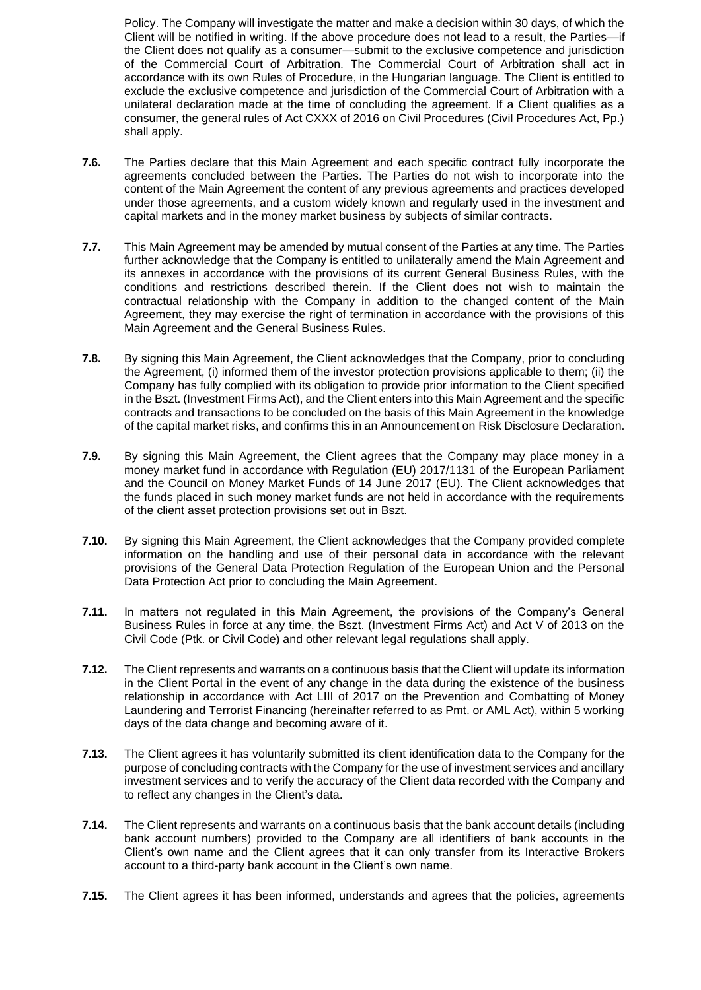Policy. The Company will investigate the matter and make a decision within 30 days, of which the Client will be notified in writing. If the above procedure does not lead to a result, the Parties—if the Client does not qualify as a consumer—submit to the exclusive competence and jurisdiction of the Commercial Court of Arbitration. The Commercial Court of Arbitration shall act in accordance with its own Rules of Procedure, in the Hungarian language. The Client is entitled to exclude the exclusive competence and jurisdiction of the Commercial Court of Arbitration with a unilateral declaration made at the time of concluding the agreement. If a Client qualifies as a consumer, the general rules of Act CXXX of 2016 on Civil Procedures (Civil Procedures Act, Pp.) shall apply.

- **7.6.** The Parties declare that this Main Agreement and each specific contract fully incorporate the agreements concluded between the Parties. The Parties do not wish to incorporate into the content of the Main Agreement the content of any previous agreements and practices developed under those agreements, and a custom widely known and regularly used in the investment and capital markets and in the money market business by subjects of similar contracts.
- **7.7.** This Main Agreement may be amended by mutual consent of the Parties at any time. The Parties further acknowledge that the Company is entitled to unilaterally amend the Main Agreement and its annexes in accordance with the provisions of its current General Business Rules, with the conditions and restrictions described therein. If the Client does not wish to maintain the contractual relationship with the Company in addition to the changed content of the Main Agreement, they may exercise the right of termination in accordance with the provisions of this Main Agreement and the General Business Rules.
- **7.8.** By signing this Main Agreement, the Client acknowledges that the Company, prior to concluding the Agreement, (i) informed them of the investor protection provisions applicable to them; (ii) the Company has fully complied with its obligation to provide prior information to the Client specified in the Bszt. (Investment Firms Act), and the Client enters into this Main Agreement and the specific contracts and transactions to be concluded on the basis of this Main Agreement in the knowledge of the capital market risks, and confirms this in an Announcement on Risk Disclosure Declaration.
- **7.9.** By signing this Main Agreement, the Client agrees that the Company may place money in a money market fund in accordance with Regulation (EU) 2017/1131 of the European Parliament and the Council on Money Market Funds of 14 June 2017 (EU). The Client acknowledges that the funds placed in such money market funds are not held in accordance with the requirements of the client asset protection provisions set out in Bszt.
- **7.10.** By signing this Main Agreement, the Client acknowledges that the Company provided complete information on the handling and use of their personal data in accordance with the relevant provisions of the General Data Protection Regulation of the European Union and the Personal Data Protection Act prior to concluding the Main Agreement.
- **7.11.** In matters not regulated in this Main Agreement, the provisions of the Company's General Business Rules in force at any time, the Bszt. (Investment Firms Act) and Act V of 2013 on the Civil Code (Ptk. or Civil Code) and other relevant legal regulations shall apply.
- **7.12.** The Client represents and warrants on a continuous basis that the Client will update its information in the Client Portal in the event of any change in the data during the existence of the business relationship in accordance with Act LIII of 2017 on the Prevention and Combatting of Money Laundering and Terrorist Financing (hereinafter referred to as Pmt. or AML Act), within 5 working days of the data change and becoming aware of it.
- **7.13.** The Client agrees it has voluntarily submitted its client identification data to the Company for the purpose of concluding contracts with the Company for the use of investment services and ancillary investment services and to verify the accuracy of the Client data recorded with the Company and to reflect any changes in the Client's data.
- **7.14.** The Client represents and warrants on a continuous basis that the bank account details (including bank account numbers) provided to the Company are all identifiers of bank accounts in the Client's own name and the Client agrees that it can only transfer from its Interactive Brokers account to a third-party bank account in the Client's own name.
- **7.15.** The Client agrees it has been informed, understands and agrees that the policies, agreements